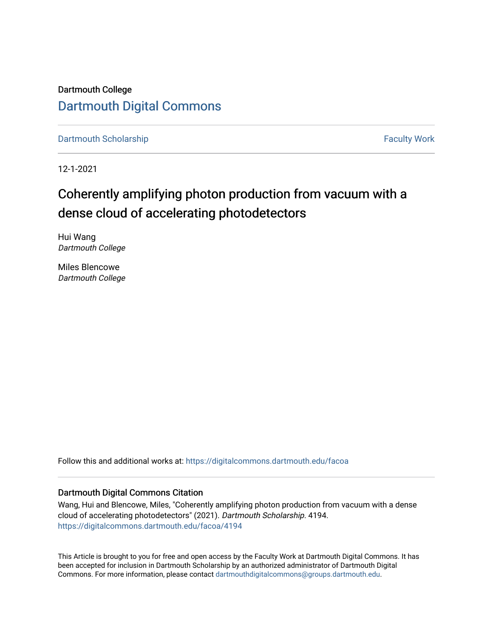Dartmouth College [Dartmouth Digital Commons](https://digitalcommons.dartmouth.edu/) 

[Dartmouth Scholarship](https://digitalcommons.dartmouth.edu/facoa) Faculty Work

12-1-2021

### Coherently amplifying photon production from vacuum with a dense cloud of accelerating photodetectors

Hui Wang Dartmouth College

Miles Blencowe Dartmouth College

Follow this and additional works at: [https://digitalcommons.dartmouth.edu/facoa](https://digitalcommons.dartmouth.edu/facoa?utm_source=digitalcommons.dartmouth.edu%2Ffacoa%2F4194&utm_medium=PDF&utm_campaign=PDFCoverPages)

#### Dartmouth Digital Commons Citation

Wang, Hui and Blencowe, Miles, "Coherently amplifying photon production from vacuum with a dense cloud of accelerating photodetectors" (2021). Dartmouth Scholarship. 4194. [https://digitalcommons.dartmouth.edu/facoa/4194](https://digitalcommons.dartmouth.edu/facoa/4194?utm_source=digitalcommons.dartmouth.edu%2Ffacoa%2F4194&utm_medium=PDF&utm_campaign=PDFCoverPages) 

This Article is brought to you for free and open access by the Faculty Work at Dartmouth Digital Commons. It has been accepted for inclusion in Dartmouth Scholarship by an authorized administrator of Dartmouth Digital Commons. For more information, please contact [dartmouthdigitalcommons@groups.dartmouth.edu](mailto:dartmouthdigitalcommons@groups.dartmouth.edu).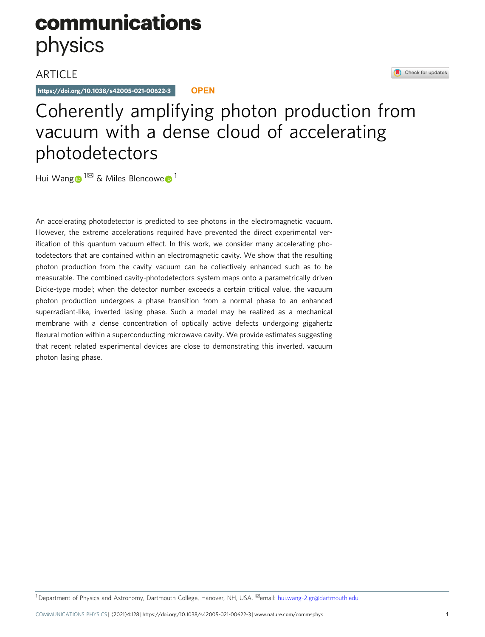# communications physics

### **ARTICLE**

https://doi.org/10.1038/s42005-021-00622-3 **OPEN**

## Coherently amplifying photon production from vacuum with a dense cloud of accelerating photodetectors

Hui Wan[g](http://orcid.org/0000-0003-1012-1124)  $1^{\boxtimes}$  $1^{\boxtimes}$  $1^{\boxtimes}$  & Miles Blencowe  $1^{\text{th}}$ 

An accelerating photodetector is predicted to see photons in the electromagnetic vacuum. However, the extreme accelerations required have prevented the direct experimental verification of this quantum vacuum effect. In this work, we consider many accelerating photodetectors that are contained within an electromagnetic cavity. We show that the resulting photon production from the cavity vacuum can be collectively enhanced such as to be measurable. The combined cavity-photodetectors system maps onto a parametrically driven Dicke-type model; when the detector number exceeds a certain critical value, the vacuum photon production undergoes a phase transition from a normal phase to an enhanced superradiant-like, inverted lasing phase. Such a model may be realized as a mechanical membrane with a dense concentration of optically active defects undergoing gigahertz flexural motion within a superconducting microwave cavity. We provide estimates suggesting that recent related experimental devices are close to demonstrating this inverted, vacuum photon lasing phase.

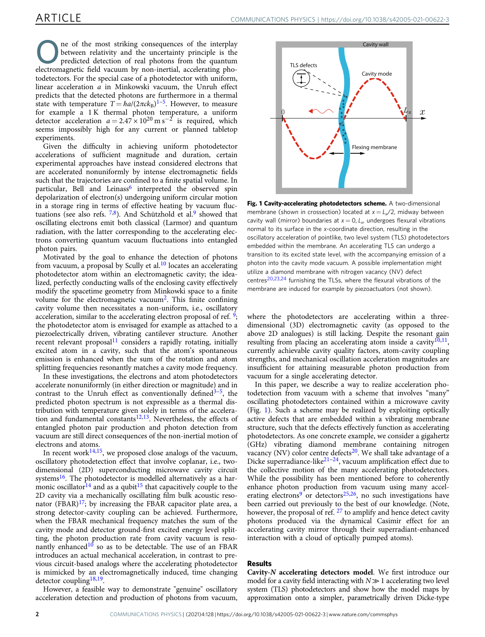<span id="page-2-0"></span>ne of the most striking consequences of the interplay between relativity and the uncertainty principle is the predicted detection of real photons from the quantum electromagnetic field vacuum by non-inertial, accelerating photodetectors. For the special case of a photodetector with uniform, linear acceleration a in Minkowski vacuum, the Unruh effect predicts that the detected photons are furthermore in a thermal state with temperature  $T = \hbar a/(2\pi c k_B)^{1-5}$  $T = \hbar a/(2\pi c k_B)^{1-5}$  $T = \hbar a/(2\pi c k_B)^{1-5}$ . However, to measure for example a 1 K thermal photon temperature, a uniform detector acceleration  $a = 2.47 \times 10^{20}$  m s<sup>-2</sup> is required, which seems impossibly high for any current or planned tabletop experiments.

Given the difficulty in achieving uniform photodetector accelerations of sufficient magnitude and duration, certain experimental approaches have instead considered electrons that are accelerated nonuniformly by intense electromagnetic fields such that the trajectories are confined to a finite spatial volume. In particular, Bell and Leinass<sup>6</sup> interpreted the observed spin depolarization of electron(s) undergoing uniform circular motion in a storage ring in terms of effective heating by vacuum fluctuations (see also refs.  $7,8$ ). And Schützhold et al.<sup>9</sup> showed that oscillating electrons emit both classical (Larmor) and quantum radiation, with the latter corresponding to the accelerating electrons converting quantum vacuum fluctuations into entangled photon pairs.

Motivated by the goal to enhance the detection of photons from vacuum, a proposal by Scully et al. $10$  locates an accelerating photodetector atom within an electromagnetic cavity; the idealized, perfectly conducting walls of the enclosing cavity effectively modify the spacetime geometry from Minkowki space to a finite volume for the electromagnetic vacuum<sup>2</sup>. This finite confining cavity volume then necessitates a non-uniform, i.e., oscillatory acceleration, similar to the accelerating electron proposal of ref.  $\frac{9}{2}$ ; the photodetector atom is envisaged for example as attached to a piezoelectrically driven, vibrating cantilever structure. Another recent relevant proposal<sup>[11](#page-7-0)</sup> considers a rapidly rotating, initially excited atom in a cavity, such that the atom's spontaneous emission is enhanced when the sum of the rotation and atom splitting frequencies resonantly matches a cavity mode frequency.

In these investigations, the electrons and atom photodetectors accelerate nonuniformly (in either direction or magnitude) and in contrast to the Unruh effect as conventionally defined<sup>[3](#page-7-0)-[5](#page-7-0)</sup>, the predicted photon spectrum is not expressible as a thermal distribution with temperature given solely in terms of the acceleration and fundamental constants $12,13$  $12,13$  $12,13$ . Nevertheless, the effects of entangled photon pair production and photon detection from vacuum are still direct consequences of the non-inertial motion of electrons and atoms.

In recent work $14,15$ , we proposed close analogs of the vacuum, oscillatory photodetection effect that involve coplanar, i.e., twodimensional (2D) superconducting microwave cavity circuit systems $^{16}$  $^{16}$  $^{16}$ . The photodetector is modelled alternatively as a har-monic oscillator<sup>[14](#page-7-0)</sup> and as a qubit<sup>15</sup> that capacitively couple to the 2D cavity via a mechanically oscillating film bulk acoustic resonator (FBAR) $17$ ; by increasing the FBAR capacitor plate area, a strong detector-cavity coupling can be achieved. Furthermore, when the FBAR mechanical frequency matches the sum of the cavity mode and detector ground-first excited energy level splitting, the photon production rate from cavity vacuum is reso-nantly enhanced<sup>[10](#page-7-0)</sup> so as to be detectable. The use of an FBAR introduces an actual mechanical acceleration, in contrast to previous circuit-based analogs where the accelerating photodetector is mimicked by an electromagnetically induced, time changing detector coupling<sup>[18,19](#page-7-0)</sup>.

However, a feasible way to demonstrate "genuine" oscillatory acceleration detection and production of photons from vacuum,



Fig. 1 Cavity-accelerating photodetectors scheme. A two-dimensional membrane (shown in crossection) located at  $x = L_x/2$ , midway between cavity wall (mirror) boundaries at  $x = 0$ ,  $L_{x}$ , undergoes flexural vibrations normal to its surface in the x-coordinate direction, resulting in the oscillatory acceleration of pointlike, two level system (TLS) photodetectors embedded within the membrane. An accelerating TLS can undergo a transition to its excited state level, with the accompanying emission of a photon into the cavity mode vacuum. A possible implementation might utilize a diamond membrane with nitrogen vacancy (NV) defect centres[20](#page-7-0),[23](#page-7-0),[24](#page-7-0) furnishing the TLSs, where the flexural vibrations of the membrane are induced for example by piezoactuators (not shown).

where the photodetectors are accelerating within a threedimensional (3D) electromagnetic cavity (as opposed to the above 2D analogues) is still lacking. Despite the resonant gain resulting from placing an accelerating atom inside a cavity $10,11$ , currently achievable cavity quality factors, atom-cavity coupling strengths, and mechanical oscillation acceleration magnitudes are insufficient for attaining measurable photon production from vacuum for a single accelerating detector.

In this paper, we describe a way to realize acceleration photodetection from vacuum with a scheme that involves "many" oscillating photodetectors contained within a microwave cavity (Fig. 1). Such a scheme may be realized by exploiting optically active defects that are embedded within a vibrating membrane structure, such that the defects effectively function as accelerating photodetectors. As one concrete example, we consider a gigahertz (GHz) vibrating diamond membrane containing nitrogen vacancy (NV) color centre defects $20$ . We shall take advantage of a Dicke superradiance-like $21-24$  $21-24$ , vacuum amplification effect due to the collective motion of the many accelerating photodetectors. While the possibility has been mentioned before to coherently enhance photon production from vacuum using many accel-erating electrons<sup>[9](#page-7-0)</sup> or detectors<sup>25,26</sup>, no such investigations have been carried out previously to the best of our knowledge. (Note, however, the proposal of ref. <sup>[27](#page-7-0)</sup> to amplify and hence detect cavity photons produced via the dynamical Casimir effect for an accelerating cavity mirror through their superradiant-enhanced interaction with a cloud of optically pumped atoms).

#### Results

Cavity-N accelerating detectors model. We first introduce our model for a cavity field interacting with  $N \gg 1$  accelerating two level system (TLS) photodetectors and show how the model maps by approximation onto a simpler, parametrically driven Dicke-type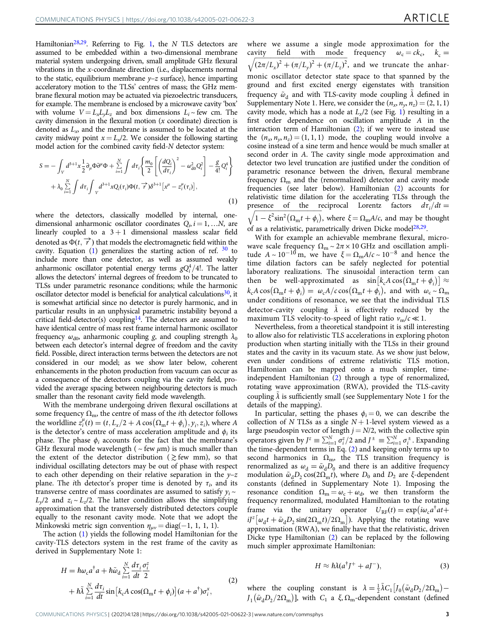<span id="page-3-0"></span>Hamiltonian<sup>28,29</sup>. Referring to Fig. [1](#page-2-0), the N TLS detectors are assumed to be embedded within a two-dimensional membrane material system undergoing driven, small amplitude GHz flexural vibrations in the x-coordinate direction (i.e., displacements normal to the static, equilibrium membrane  $\nu$ –*z* surface), hence imparting acceleratory motion to the TLSs' centres of mass; the GHz membrane flexural motion may be actuated via piezoelectric transducers, for example. The membrane is enclosed by a microwave cavity 'box' with volume  $V = L_x L_y L_z$  and box dimensions  $L_i \sim$  few cm. The cavity dimension in the flexural motion  $(x \text{ coordinate})$  direction is denoted as  $L<sub>x</sub>$  and the membrane is assumed to be located at the cavity midway point  $x = L_x/2$ . We consider the following starting model action for the combined cavity field-N detector system:

$$
S = -\int_{V} d^{3+1}x \frac{1}{2} \partial_{\mu} \Phi \partial^{\mu} \Phi + \sum_{i=1}^{N} \int d\tau_{i} \left\{ \frac{m_{0}}{2} \left[ \left( \frac{dQ_{i}}{d\tau_{i}} \right)^{2} - \omega_{d0}^{2} Q_{i}^{2} \right] - \frac{g}{4!} Q_{i}^{4} \right\} + \lambda_{0} \sum_{i=1}^{N} \int d\tau_{i} \int_{V} d^{3+1}x Q_{i}(\tau_{i}) \Phi(t, \vec{\tau}) \delta^{3+1} \left[ x^{\mu} - z_{i}^{\mu}(\tau_{i}) \right],
$$
\n(1)

where the detectors, classically modelled by internal, onedimensional anharmonic oscillator coordinates  $Q_i$ ,  $i = 1, ...N$ , are linearly coupled to a  $3 + 1$  dimensional massless scalar field denoted as  $\Phi(t, \vec{r})$  that models the electromagnetic field within the cavity. Equation  $(1)$  generalizes the starting action of ref.  $30$  to include more than one detector, as well as assumed weakly anharmonic oscillator potential energy terms  $gQ_i^4/4!$ . The latter allows the detectors' internal degrees of freedom to be truncated to TLSs under parametric resonance conditions; while the harmonic oscillator detector model is beneficial for analytical calculations $30$ , it is somewhat artificial since no detector is purely harmonic, and in particular results in an unphysical parametric instability beyond a critical field-detector(s) coupling<sup>14</sup>. The detectors are assumed to have identical centre of mass rest frame internal harmonic oscillator frequency  $\omega_{d0}$ , anharmonic coupling g, and coupling strength  $\lambda_0$ between each detector's internal degree of freedom and the cavity field. Possible, direct interaction terms between the detectors are not considered in our model; as we show later below, coherent enhancements in the photon production from vacuum can occur as a consequence of the detectors coupling via the cavity field, provided the average spacing between neighbouring detectors is much smaller than the resonant cavity field mode wavelength.

With the membrane undergoing driven flexural oscillations at some frequency  $\Omega_{\rm m}$ , the centre of mass of the *i*th detector follows the worldline  $z_i^{\mu}(t) = (t, L_x/2 + A \cos(\Omega_m t + \phi_i), y_i, z_i)$ , where A is the detector's centre of mass acceleration amplitude and  $\phi_i$  its phase. The phase  $\phi_i$  accounts for the fact that the membrane's GHz flexural mode wavelength ( $\sim$  few  $\mu$ m) is much smaller than the extent of the detector distribution ( $\gtrsim$  few mm), so that individual oscillating detectors may be out of phase with respect to each other depending on their relative separation in the  $y-z$ plane. The *i*th detector's proper time is denoted by  $\tau_i$ , and its transverse centre of mass coordinates are assumed to satisfy  $y_i \sim$  $L_v/2$  and  $z_i \sim L_z/2$ . The latter condition allows the simplifying approximation that the transversely distributed detectors couple equally to the resonant cavity mode. Note that we adopt the Minkowski metric sign convention  $\eta_{\mu\nu} = \text{diag}(-1, 1, 1, 1)$ .

The action (1) yields the following model Hamiltonian for the cavity-TLS detectors system in the rest frame of the cavity as derived in Supplementary Note 1:

$$
H = \hbar \omega_c a^{\dagger} a + \hbar \tilde{\omega}_d \sum_{i=1}^{N} \frac{d\tau_i}{dt} \frac{\sigma_i^z}{2}
$$
  
+  $\hbar \tilde{\lambda} \sum_{i=1}^{N} \frac{d\tau_i}{dt} \sin[k_c A \cos(\Omega_m t + \phi_i)] (a + a^{\dagger}) \sigma_i^x,$  (2)

where we assume a single mode approximation for the cavity field with mode frequency  $\omega_c = ck_c$ ,  $k_c =$ cavity field with mode frequency  $\omega_c = ck_c$ ,  $k_c = \sqrt{(2\pi/L_x)^2 + (\pi/L_y)^2 + (\pi/L_z)^2}$ , and we truncate the anharmonic oscillator detector state space to that spanned by the ground and first excited energy eigenstates with transition frequency  $\tilde{\omega}_A$  and with TLS-cavity mode coupling  $\lambda$  defined in Supplementary Note 1. Here, we consider the  $(n_x, n_y, n_z) = (2, 1, 1)$ cavity mode, which has a node at  $L<sub>x</sub>/2$  (see Fig. [1](#page-2-0)) resulting in a first order dependence on oscillation amplitude A in the interaction term of Hamiltonian  $(2)$ ; if we were to instead use the  $(n_x, n_y, n_z) = (1, 1, 1)$  mode, the coupling would involve a cosine instead of a sine term and hence would be much smaller at second order in A. The cavity single mode approximation and detector two level truncation are justified under the condition of parametric resonance between the driven, flexural membrane frequency  $\Omega_{\rm m}$  and the (renormalized) detector and cavity mode frequencies (see later below). Hamiltonian (2) accounts for relativistic time dilation for the accelerating TLSs through the presence of the reciprocal Lorentz factors  $d\tau_i/dt =$ <br>  $\sqrt{1-\xi^2\sin^2(\Omega t+\phi)}$  where  $\xi = \Omega$  A/c and may be thought  $\sqrt{1-\xi^2\sin^2(\Omega_m t + \phi_i)}$ , where  $\xi = \Omega_m A/c$ , and may be thought of as a relativistic, parametrically driven Dicke model<sup>28,29</sup>.

With for example an achievable membrane flexural, microwave scale frequency  $\Omega_m \sim 2\pi \times 10$  GHz and oscillation amplitude  $A \sim 10^{-10}$  m, we have  $\xi = \Omega_{\rm m} A/c \sim 10^{-8}$  and hence the time dilation factors can be safely neglected for potential laboratory realizations. The sinusoidal interaction term can then be well-approximated as  $\sin[k_c A \cos(\Omega_m t + \phi_i)] \approx$  $k_c A \cos(\Omega_m t + \phi_i) = \omega_c A / c \cos(\Omega_m t + \phi_i)$ , and with  $\omega_c \sim \Omega_m$ under conditions of resonance, we see that the individual TLS detector-cavity coupling  $\lambda$  is effectively reduced by the maximum TLS velocity-to-speed of light ratio  $v_m/c \ll 1$ .

Nevertheless, from a theoretical standpoint it is still interesting to allow also for relativistic TLS accelerations in exploring photon production when starting initially with the TLSs in their ground states and the cavity in its vacuum state. As we show just below, even under conditions of extreme relativistic TLS motion, Hamiltonian can be mapped onto a much simpler, timeindependent Hamiltonian (2) through a type of renormalized, rotating wave approximation (RWA), provided the TLS-cavity coupling  $\lambda$  is sufficiently small (see Supplementary Note 1 for the details of the mapping).

In particular, setting the phases  $\phi_i = 0$ , we can describe the collection of N TLSs as a single  $N+1$ -level system viewed as a large pseudospin vector of length  $j = N/2$ , with the collective spin operators given by  $J^z \equiv \sum_{i=1}^N \sigma_i^z/2$  and  $J^{\pm} \equiv \sum_{i=1}^N \sigma_i^{\pm}$ . Expanding the time-dependent terms in Eq. (2) and keeping only terms up to second harmonics in  $\Omega_{\rm m}$ , the TLS transition frequency is renormalized as  $\omega_d = \tilde{\omega}_d \overline{D}_0$  and there is an additive frequency modulation  $\tilde{\omega}_d D_2 \cos(2\Omega_m t)$ , where  $D_0$  and  $D_2$  are ξ-dependent constants (defined in Supplementary Note 1). Imposing the resonance condition  $\Omega_{\rm m} = \omega_{\rm c} + \omega_{\rm d}$ , we then transform the frequency renormalized, modulated Hamiltonian to the rotating frame via the unitary operator  $U_{RF}(t) = \exp(i\omega_c a^{\dagger}at +$  $iJ^{z} \left[ \omega_{d} t + \tilde{\omega}_{d} D_{2} \sin(2\Omega_{m} t)/2\Omega_{m} \right]$ ). Applying the rotating wave approximation (RWA), we finally have that the relativistic, driven Dicke type Hamiltonian (2) can be replaced by the following much simpler approximate Hamiltonian:

$$
H \approx \hbar \lambda (a^{\dagger} J^{+} + aJ^{-}), \qquad (3)
$$

where the coupling constant is  $\lambda = \frac{1}{2}\tilde{\lambda}C_1\left[J_0\left(\tilde{\omega}_dD_2/2\Omega_m\right) J_1(\tilde{\omega}_d D_2/2\Omega_m)$ ], with  $C_1$  a  $\xi$ ,  $\Omega_m$ -dependent constant (defined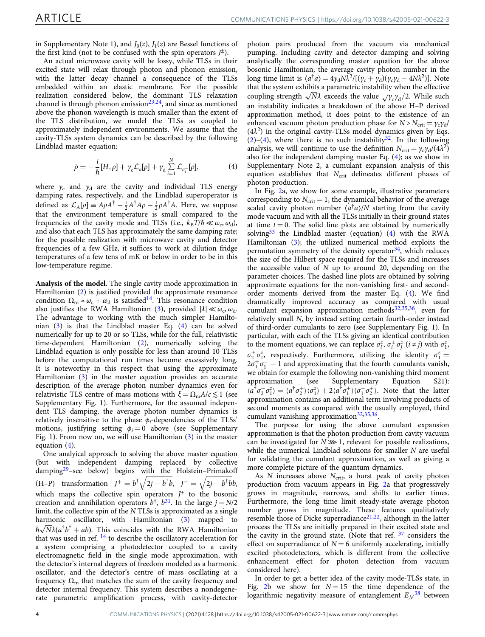<span id="page-4-0"></span>in Supplementary Note 1), and  $J_0(z)$ ,  $J_1(z)$  are Bessel functions of the first kind (not to be confused with the spin operators  $J^{\pm}$ ).

An actual microwave cavity will be lossy, while TLSs in their excited state will relax through photon and phonon emission, with the latter decay channel a consequence of the TLSs embedded within an elastic membrane. For the possible realization considered below, the dominant TLS relaxation channel is through phonon emission $23,24$ , and since as mentioned above the phonon wavelength is much smaller than the extent of the TLS distribution, we model the TLSs as coupled to approximately independent environments. We assume that the cavity-TLSs system dynamics can be described by the following Lindblad master equation:

$$
\dot{\rho} = -\frac{i}{\hbar} [H, \rho] + \gamma_c \mathcal{L}_a[\rho] + \gamma_d \sum_{i=1}^N \mathcal{L}_{\sigma_i^-}[\rho],\tag{4}
$$

where  $\gamma_c$  and  $\gamma_d$  are the cavity and individual TLS energy damping rates, respectively, and the Lindblad superoperator is defined as  $\mathcal{L}_A[\rho] \equiv A\rho A^{\dagger} - \frac{1}{2}A^{\dagger}A\rho - \frac{1}{2}\rho A^{\dagger}A$ . Here, we suppose that the environment temperature is small compared to the frequencies of the cavity mode and TLSs (i.e.,  $k_B T/\hbar \ll \omega_c, \omega_d$ ), and also that each TLS has approximately the same damping rate; for the possible realization with microwave cavity and detector frequencies of a few GHz, it suffices to work at dilution fridge temperatures of a few tens of mK or below in order to be in this low-temperature regime.

Analysis of the model. The single cavity mode approximation in Hamiltonian [\(2\)](#page-3-0) is justified provided the approximate resonance condition  $\Omega_{\rm m} \approx \omega_{\rm c} + \omega_{\rm d}$  is satisfied<sup>14</sup>. This resonance condition also justifies the RWA Hamiltonian ([3](#page-3-0)), provided  $|\lambda| \ll \omega_c$ ,  $\omega_d$ . The advantage to working with the much simpler Hamiltonian [\(3\)](#page-3-0) is that the Lindblad master Eq. (4) can be solved numerically for up to 20 or so TLSs, while for the full, relativistic time-dependent Hamiltonian [\(2\)](#page-3-0), numerically solving the Lindblad equation is only possible for less than around 10 TLSs before the computational run times become excessively long. It is noteworthy in this respect that using the approximate Hamiltonian ([3](#page-3-0)) in the master equation provides an accurate description of the average photon number dynamics even for relativistic TLS centre of mass motions with  $\xi = \Omega_{\rm m} A/c \lesssim 1$  (see Supplementary Fig. 1). Furthermore, for the assumed independent TLS damping, the average photon number dynamics is relatively insensitive to the phase  $\phi_i$ -dependencies of the TLSs' motions, justifying setting  $\phi_i = 0$  above (see Supplementary Fig. 1). From now on, we will use Hamiltonian [\(3\)](#page-3-0) in the master equation (4).

One analyical approach to solving the above master equation (but with independent damping replaced by collective damping<sup>[29](#page-7-0)</sup>–see below) begins with the Holstein–Primakoff (H-P) transformation  $J^+ = b^{\dagger} \sqrt{2j} - b^{\dagger}b$ ,  $J^- = \sqrt{2j} - b^{\dagger}bb$ , which maps the collective spin operators  $J^{\pm}$  to the bosonic creation and annihilation operators  $b^{\dagger}$ ,  $b^{31}$ . In the large  $j = N/2$ limit, the collective spin of the  $N$  TLSs is approximated as a single harmonic oscillator, with Hamiltonian [\(3](#page-3-0)) mapped to  $\hbar \sqrt{N} \lambda (a^{\dagger} b^{\dagger} + ab)$ . This coincides with the RWA Hamiltonian that was used in ref.  $^{14}$  $^{14}$  $^{14}$  to describe the oscillatory acceleration for a system comprising a photodetector coupled to a cavity electromagnetic field in the single mode approximation, with the detector's internal degrees of freedom modeled as a harmonic oscillator, and the detector's centre of mass oscillating at a frequency  $\Omega_{\rm m}$  that matches the sum of the cavity frequency and detector internal frequency. This system describes a nondegenerate parametric amplification process, with cavity-detector

photon pairs produced from the vacuum via mechanical pumping. Including cavity and detector damping and solving analytically the corresponding master equation for the above bosonic Hamiltonian, the average cavity photon number in the long time limit is  $\langle a^{\dagger} a \rangle = 4 \gamma_d N \lambda^2 / [(\gamma_c + \gamma_d)(\gamma_c \gamma_d - 4 N \lambda^2)]$ . Note that the system exhibits a parametric instability when the effective coupling strength  $\sqrt{N}\lambda$  exceeds the value  $\sqrt{\gamma_c\gamma_d}/2$ . While such an instability indicates a breakdown of the above H–P derived approximation method, it does point to the existence of an enhanced vacuum photon production phase for  $N > N<sub>crit</sub> = \gamma_c \gamma_d$ /  $(4\lambda^2)$  in the original cavity-TLSs model dynamics given by Eqs.  $(2)-(4)$  $(2)-(4)$  $(2)-(4)$ , where there is no such instability<sup>[32](#page-7-0)</sup>. In the following analysis, we will continue to use the definition  $N_{\text{crit}} = \gamma_c \gamma_d/(4\lambda^2)$ also for the independent damping master Eq. (4); as we show in Supplementary Note 2, a cumulant expansion analysis of this equation establishes that  $N_{\text{crit}}$  delineates different phases of photon production.

In Fig. [2](#page-5-0)a, we show for some example, illustrative parameters corresponding to  $N_{\text{crit}} = 1$ , the dynamical behavior of the average scaled cavity photon number  $\langle a^{\dagger} a \rangle/N$  starting from the cavity mode vacuum and with all the TLSs initially in their ground states at time  $t = 0$ . The solid line plots are obtained by numerically solving<sup>[33](#page-7-0)</sup> the Lindblad master (equation) (4) with the RWA Hamiltonian ([3](#page-3-0)); the utilized numerical method exploits the permutation symmetry of the density operator $34$ , which reduces the size of the Hilbert space required for the TLSs and increases the accessible value of  $N$  up to around 20, depending on the parameter choices. The dashed line plots are obtained by solving approximate equations for the non-vanishing first- and secondorder moments derived from the master Eq. (4). We find dramatically improved accuracy as compared with usual cumulant expansion approximation methods<sup>32,35,36</sup>, even for relatively small N, by instead setting certain fourth-order instead of third-order cumulants to zero (see Supplementary Fig. 1). In particular, with each of the TLSs giving an identical contribution to the moment equations, we can replace  $\sigma_i^z$ ,  $\sigma_i^{\pm} \sigma_j^z$  ( $i \neq j$ ) with  $\sigma_i^z$ ,  $\sigma_2^{\pm} \sigma_1^{\rm z}$ , respectively. Furthermore, utilizing the identity  $\sigma_1^{\rm z} =$  $2\sigma_1^+\sigma_1^- - 1$  and approximating that the fourth cumulants vanish, we obtain for example the following non-vanishing third moment approximation (see Supplementary Equation S21):  $\langle a^{\dagger} \sigma_2^2 \sigma_1^2 \rangle = \langle a^{\dagger} \sigma_2^2 \rangle \langle \sigma_1^2 \rangle + 2 \langle a^{\dagger} \sigma_1^2 \rangle \langle \sigma_1^2 \sigma_2^2 \rangle$ . Note that the latter approximation contains an additional term involving products of second moments as compared with the usually employed, third cumulant vanishing approximation $32,35,36$ .

The purpose for using the above cumulant expansion approximation is that the photon production from cavity vacuum can be investigated for  $N \gg 1$ , relevant for possible realizations, while the numerical Lindblad solutions for smaller N are useful for validating the cumulant approximation, as well as giving a more complete picture of the quantum dynamics.

As  $N$  increases above  $N_{\text{crit}}$ , a burst peak of cavity photon production from vacuum appears in Fig. [2a](#page-5-0) that progressively grows in magnitude, narrows, and shifts to earlier times. Furthermore, the long time limit steady-state average photon number grows in magnitude. These features qualitatively resemble those of Dicke superradiance $21,22$ , although in the latter process the TLSs are initially prepared in their excited state and the cavity in the ground state. (Note that ref.  $37$  considers the effect on superradiance of  $N = 6$  uniformly accelerating, initially excited photodetectors, which is different from the collective enhancement effect for photon detection from vacuum considered here).

In order to get a better idea of the cavity mode-TLSs state, in Fig. [2](#page-5-0)b we show for  $N = 15$  the time dependence of the logarithmic negativity measure of entanglement  $E_N^{38}$  $E_N^{38}$  $E_N^{38}$  between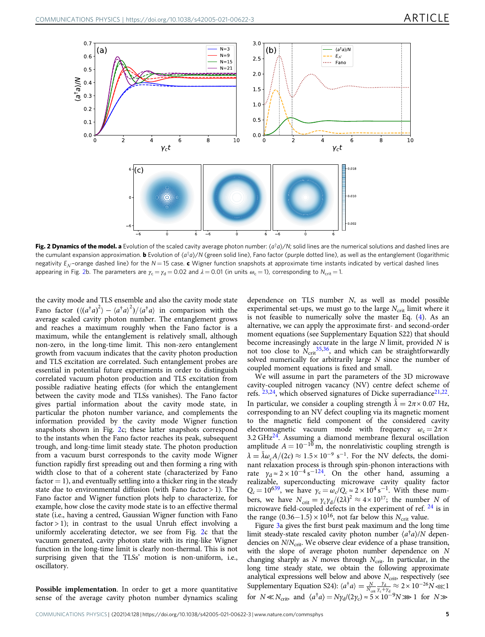<span id="page-5-0"></span>

Fig. 2 Dynamics of the model. a Evolution of the scaled cavity average photon number:  $\langle a^{\dagger}a \rangle/N$ ; solid lines are the numerical solutions and dashed lines are the cumulant expansion approximation. **b** Evolution of  $\langle a^{\dagger}a \rangle/N$  (green solid line), Fano factor (purple dotted line), as well as the entanglement (logarithmic negativity  $E_{N}$ -orange dashed line) for the  $N = 15$  case. c Wigner function snapshots at approximate time instants indicated by vertical dashed lines appearing in Fig. 2b. The parameters are  $\gamma_c = \gamma_d = 0.02$  and  $\lambda = 0.01$  (in units  $\omega_c = 1$ ), corresponding to  $N_{\text{crit}} = 1$ .

the cavity mode and TLS ensemble and also the cavity mode state Fano factor  $((a^{\dagger}a)^2) - \langle a^{\dagger}a \rangle^2)/\langle a^{\dagger}a \rangle$  in comparison with the average scaled cavity photon number. The entanglement grows and reaches a maximum roughly when the Fano factor is a maximum, while the entanglement is relatively small, although non-zero, in the long-time limit. This non-zero entanglement growth from vacuum indicates that the cavity photon production and TLS excitation are correlated. Such entanglement probes are essential in potential future experiments in order to distinguish correlated vacuum photon production and TLS excitation from possible radiative heating effects (for which the entanglement between the cavity mode and TLSs vanishes). The Fano factor gives partial information about the cavity mode state, in particular the photon number variance, and complements the information provided by the cavity mode Wigner function snapshots shown in Fig. 2c; these latter snapshots correspond to the instants when the Fano factor reaches its peak, subsequent trough, and long-time limit steady state. The photon production from a vacuum burst corresponds to the cavity mode Wigner function rapidly first spreading out and then forming a ring with width close to that of a coherent state (characterized by Fano  $factor = 1$ , and eventually settling into a thicker ring in the steady state due to environmental diffusion (with Fano factor > 1). The Fano factor and Wigner function plots help to characterize, for example, how close the cavity mode state is to an effective thermal state (i.e., having a centred, Gaussian Wigner function with Fano factor  $> 1$ ); in contrast to the usual Unruh effect involving a uniformly accelerating detector, we see from Fig. 2c that the vacuum generated, cavity photon state with its ring-like Wigner function in the long-time limit is clearly non-thermal. This is not surprising given that the TLSs' motion is non-uniform, i.e., oscillatory.

dependence on TLS number N, as well as model possible experimental set-ups, we must go to the large  $N_{\text{crit}}$  limit where it is not feasible to numerically solve the master Eq. ([4](#page-4-0)). As an alternative, we can apply the approximate first- and second-order moment equations (see Supplementary Equation S22) that should become increasingly accurate in the large  $N$  limit, provided  $N$  is not too close to  $N_{\text{crit}}^{35,36}$  $N_{\text{crit}}^{35,36}$  $N_{\text{crit}}^{35,36}$  $N_{\text{crit}}^{35,36}$  $N_{\text{crit}}^{35,36}$ , and which can be straightforwardly solved numerically for arbitrarily large N since the number of coupled moment equations is fixed and small.

We will assume in part the parameters of the 3D microwave cavity-coupled nitrogen vacancy (NV) centre defect scheme of refs.  $23,24$  $23,24$  $23,24$ , which observed signatures of Dicke superradiance  $21,22$ . In particular, we consider a coupling strength  $\lambda = 2\pi \times 0.07$  Hz, corresponding to an NV defect coupling via its magnetic moment to the magnetic field component of the considered cavity electromagnetic vacuum mode with frequency  $\omega_c = 2\pi \times$ 3.2 GH[z24.](#page-7-0) Assuming a diamond membrane flexural oscillation amplitude  $A = 10^{-10}$  m, the nonrelativistic coupling strength is  $\lambda = \tilde{\lambda} \omega_c A/(2c) \approx 1.5 \times 10^{-9} \text{ s}^{-1}$ . For the NV defects, the dominant relaxation process is through spin-phonon interactions with rate  $\gamma_d \approx 2 \times 10^{-4} \text{ s}^{-124}$ . On the other hand, assuming a realizable, superconducting microwave cavity quality factor  $Q_c = 10^{639}$ , we have  $\gamma_c = \omega_c/Q_c \approx 2 \times 10^4 \text{ s}^{-1}$ . With these numbers, we have  $N_{\text{crit}} = \gamma_c \gamma_d / (2\lambda)^2 \approx 4 \times 10^{17}$ ; the number N of microwave field-coupled defects in the experiment of ref. <sup>[24](#page-7-0)</sup> is in the range  $(0.36-1.5) \times 10^{16}$ , not far below this  $N_{\text{crit}}$  value.

Figure [3a](#page-6-0) gives the first burst peak maximum and the long time limit steady-state rescaled cavity photon number  $\langle a^{\dagger} a \rangle/N$  dependencies on  $N/N_{\rm crit}$ . We observe clear evidence of a phase transition, with the slope of average photon number dependence on N changing sharply as N moves through  $N_{\text{crit}}$ . In particular, in the long time steady state, we obtain the following approximate analytical expressions well below and above  $N_{\text{crit}}$ , respectively (see Supplementary Equation S24):  $\langle a^{\dagger} a \rangle = \frac{N}{N_{\rm crit}} \frac{y_a}{y_c + y_b}$  $\frac{\gamma_d}{\gamma_c+\gamma_d} \approx 2 \times 10^{-26} N \ll 1$ for  $N \ll N_{\text{crit}}$ , and  $\langle a^{\dagger} a \rangle = N \gamma_d / (2 \gamma_c) \approx 5 \times 10^{-9} N \gg 1$  for  $N \gg$ 

Possible implementation. In order to get a more quantitative sense of the average cavity photon number dynamics scaling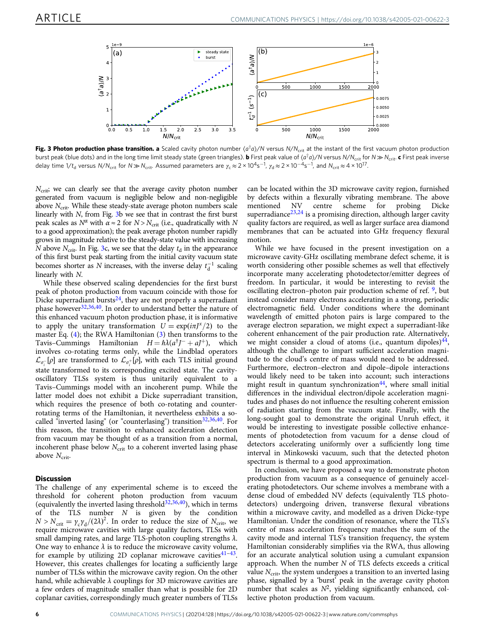<span id="page-6-0"></span>

Fig. 3 Photon production phase transition. a Scaled cavity photon number  $\langle a^{\dagger}a \rangle/N$  versus  $N/N_{\text{crit}}$  at the instant of the first vacuum photon production burst peak (blue dots) and in the long time limit steady state (green triangles). **b** First peak value of  $\langle a^{\dagger}a \rangle/N$  versus N/N<sub>crit</sub> for  $N \gg N_{\text{crit}}$ . **c** First peak inverse delay time 1/t<sub>d</sub> versus N/N<sub>crit</sub> for N $\gg$  N<sub>crit</sub>. Assumed parameters are  $\gamma_{\rm c}\approx$  2 × 10<sup>4</sup>s<sup>−1</sup>,  $\gamma_{\rm d}\approx$  2 × 10<sup>−4</sup>s<sup>−1</sup>, and N<sub>crit</sub> ≈ 4 × 10<sup>17</sup>.

 $N_{\text{crit}}$ ; we can clearly see that the average cavity photon number generated from vacuum is negligible below and non-negligible above  $N_{\text{crit}}$ . While these steady-state average photon numbers scale linearly with  $N$ , from Fig.  $3b$  we see that in contrast the first burst peak scales as  $N^{\alpha}$  with  $\alpha \approx 2$  for  $N > N_{\text{crit}}$  (i.e., quadratically with N to a good approximation); the peak average photon number rapidly grows in magnitude relative to the steady-state value with increasing N above  $N_{\text{crit}}$ . In Fig. 3c, we see that the delay  $t_{\text{d}}$  in the appearance of this first burst peak starting from the initial cavity vacuum state becomes shorter as N increases, with the inverse delay  $t_d^{-1}$  scaling linearly with N.

While these observed scaling dependencies for the first burst peak of photon production from vacuum coincide with those for Dicke superradiant bursts $^{24}$ , they are not properly a superradiant phase however<sup>32,36,40</sup>. In order to understand better the nature of this enhanced vacuum photon production phase, it is informative to apply the unitary transformation  $U = \exp(i\pi J^x/2)$  to the master Eq. ([4\)](#page-4-0); the RWA Hamiltonian ([3](#page-3-0)) then transforms to the Tavis–Cummings Hamiltonian  $H = \hbar \lambda (a^{\dagger}J^- + aJ^+)$ , which involves co-rotating terms only, while the Lindblad operators  $\mathcal{L}_{\sigma_{i}^{-}}[\rho]$  are transformed to  $\mathcal{L}_{\sigma_{i}^{+}}[\rho],$  with each TLS initial ground state transformed to its corresponding excited state. The cavityoscillatory TLSs system is thus unitarily equivalent to a Tavis–Cummings model with an incoherent pump. While the latter model does not exhibit a Dicke superradiant transition, which requires the presence of both co-rotating and counterrotating terms of the Hamiltonian, it nevertheless exhibits a socalled "inverted lasing" (or "counterlasing") transition $32,36,40$ . For this reason, the transition to enhanced acceleration detection from vacuum may be thought of as a transition from a normal, incoherent phase below  $N_{\text{crit}}$  to a coherent inverted lasing phase above  $N_{\text{crit}}$ .

#### **Discussion**

The challenge of any experimental scheme is to exceed the threshold for coherent photon production from vacuum (equivalently the inverted lasing threshold $32,36,40$ ), which in terms of the TLS number  $N$  is given by the condition  $N > N_{\text{crit}} = \gamma_c \gamma_d / (2\lambda)^2$ . In order to reduce the size of  $N_{\text{crit}}$ , we require microwave cavities with large quality factors, TLSs with small damping rates, and large TLS-photon coupling strengths  $\lambda$ . One way to enhance  $\lambda$  is to reduce the microwave cavity volume, for example by utilizing 2D coplanar microwave cavities $41-43$  $41-43$ . However, this creates challenges for locating a sufficiently large number of TLSs within the microwave cavity region. On the other hand, while achievable  $\lambda$  couplings for 3D microwave cavities are a few orders of magnitude smaller than what is possible for 2D coplanar cavities, correspondingly much greater numbers of TLSs

can be located within the 3D microwave cavity region, furnished by defects within a flexurally vibrating membrane. The above<br>mentioned NV centre scheme for probing Dicke NV centre scheme for probing Dicke superradiance<sup>[23,24](#page-7-0)</sup> is a promising direction, although larger cavity quality factors are required, as well as larger surface area diamond membranes that can be actuated into GHz frequency flexural motion.

While we have focused in the present investigation on a microwave cavity-GHz oscillating membrane defect scheme, it is worth considering other possible schemes as well that effectively incorporate many accelerating photodetector/emitter degrees of freedom. In particular, it would be interesting to revisit the oscillating electron–photon pair production scheme of ref. [9](#page-7-0), but instead consider many electrons accelerating in a strong, periodic electromagnetic field. Under conditions where the dominant wavelength of emitted photon pairs is large compared to the average electron separation, we might expect a superradiant-like coherent enhancement of the pair production rate. Alternatively, we might consider a cloud of atoms (i.e., quantum dipoles) $44$ , although the challenge to impart sufficient acceleration magnitude to the cloud's centre of mass would need to be addressed. Furthermore, electron–electron and dipole–dipole interactions would likely need to be taken into account; such interactions might result in quantum synchronization $44$ , where small initial differences in the individual electron/dipole acceleration magnitudes and phases do not influence the resulting coherent emission of radiation starting from the vacuum state. Finally, with the long-sought goal to demonstrate the original Unruh effect, it would be interesting to investigate possible collective enhancements of photodetection from vacuum for a dense cloud of detectors accelerating uniformly over a sufficiently long time interval in Minkowski vacuum, such that the detected photon spectrum is thermal to a good approximation.

In conclusion, we have proposed a way to demonstrate photon production from vacuum as a consequence of genuinely accelerating photodetectors. Our scheme involves a membrane with a dense cloud of embedded NV defects (equivalently TLS photodetectors) undergoing driven, transverse flexural vibrations within a microwave cavity, and modelled as a driven Dicke-type Hamiltonian. Under the condition of resonance, where the TLS's centre of mass acceleration frequency matches the sum of the cavity mode and internal TLS's transition frequency, the system Hamiltonian considerably simplifies via the RWA, thus allowing for an accurate analytical solution using a cumulant expansion approach. When the number  $N$  of TLS defects exceeds a critical value  $N<sub>crit</sub>$ , the system undergoes a transition to an inverted lasing phase, signalled by a 'burst' peak in the average cavity photon number that scales as  $N^2$ , yielding significantly enhanced, collective photon production from vacuum.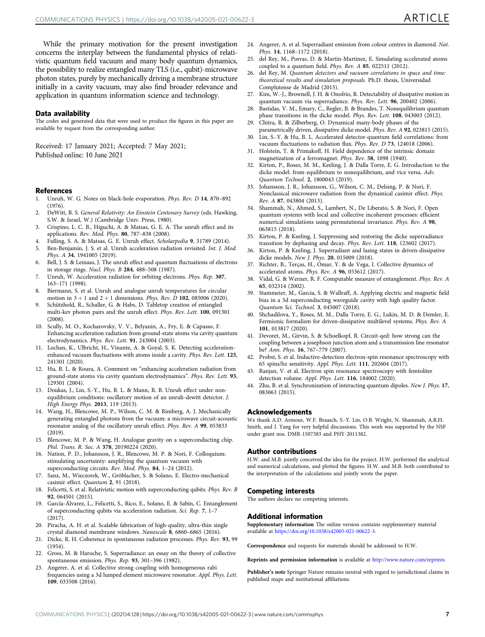<span id="page-7-0"></span>While the primary motivation for the present investigation concerns the interplay between the fundamental physics of relativistic quantum field vacuum and many body quantum dynamics, the possibility to realize entangled many TLS (i.e., qubit)-microwave photon states, purely by mechanically driving a membrane structure initially in a cavity vacuum, may also find broader relevance and application in quantum information science and technology.

#### Data availability

The codes and generated data that were used to produce the figures in this paper are available by request from the corresponding author.

Received: 17 January 2021; Accepted: 7 May 2021;

#### References

- 1. Unruh, W. G. Notes on black-hole evaporation. Phys. Rev. D 14, 870–892 (1976).
- 2. DeWitt, B. S. General Relativity: An Einstein Centenary Survey (eds. Hawking, S.W. & Israel, W.) (Cambridge Univ. Press, 1980).
- 3. Crispino, L. C. B., Higuchi, A. & Matsas, G. E. A. The unruh effect and its applications. Rev. Mod. Phys. 80, 787–838 (2008).
- 4. Fulling, S. A. & Matsas, G. E. Unruh effect. Scholarpedia 9, 31789 (2014).<br>5. Ben-Beniamin. I. S. et al. Unruh acceleration radiation revisited. Int. I. Mo
- 5. Ben-Benjamin, J. S. et al. Unruh acceleration radiation revisited. Int. J. Mod. Phys. A 34, 1941005 (2019).
- 6. Bell, J. S. & Leinaas, J. The unruh effect and quantum fluctuations of electrons in storage rings. Nucl. Phys. B 284, 488–508 (1987).
- 7. Unruh, W. Acceleration radiation for orbiting electrons. Phys. Rep. 307, 163–171 (1998).
- 8. Biermann, S. et al. Unruh and analogue unruh temperatures for circular motion in  $3 + 1$  and  $2 + 1$  dimensions. *Phys. Rev. D* 102, 085006 (2020).
- 9. Schützhold, R., Schaller, G. & Habs, D. Tabletop creation of entangled multi-kev photon pairs and the unruh effect. Phys. Rev. Lett. 100, 091301 (2008).
- 10. Scully, M. O., Kocharovsky, V. V., Belyanin, A., Fry, E. & Capasso, F. Enhancing acceleration radiation from ground-state atoms via cavity quantum electrodynamics. Phys. Rev. Lett. 91, 243004 (2003).
- 11. Lochan, K., Ulbricht, H., Vinante, A. & Goyal, S. K. Detecting accelerationenhanced vacuum fluctuations with atoms inside a cavity. Phys. Rev. Lett. 125, 241301 (2020).
- 12. Hu, B. L. & Roura, A. Comment on "enhancing acceleration radiation from ground-state atoms via cavity quantum electrodynamics". Phys. Rev. Lett. 93, 129301 (2004).
- 13. Doukas, J., Lin, S.-Y., Hu, B. L. & Mann, R. B. Unruh effect under nonequilibrium conditions: oscillatory motion of an unruh-dewitt detector. J. High Energy Phys. 2013, 119 (2013).
- 14. Wang, H., Blencowe, M. P., Wilson, C. M. & Rimberg, A. J. Mechanically generating entangled photons from the vacuum: a microwave circuit-acoustic resonator analog of the oscillatory unruh effect. Phys. Rev. A 99, 053833 (2019).
- 15. Blencowe, M. P. & Wang, H. Analogue gravity on a superconducting chip. Phil. Trans. R. Soc. A 378, 20190224 (2020).
- 16. Nation, P. D., Johansson, J. R., Blencowe, M. P. & Nori, F. Colloquium: stimulating uncertainty: amplifying the quantum vacuum with superconducting circuits. Rev. Mod. Phys. 84, 1-24 (2012).
- 17. Sanz, M., Wieczorek, W., Gröblacher, S. & Solano, E. Electro-mechanical casimir effect. Quantum 2, 91 (2018).
- 18. Felicetti, S. et al. Relativistic motion with superconducting qubits. Phys. Rev. B 92, 064501 (2015).
- 19. García-Álvarez, L., Felicetti, S., Rico, E., Solano, E. & Sabín, C. Entanglement of superconducting qubits via acceleration radiation. Sci. Rep. 7, 1–7 (2017).
- 20. Piracha, A. H. et al. Scalable fabrication of high-quality, ultra-thin single crystal diamond membrane windows. Nanoscale 8, 6860–6865 (2016).
- 21. Dicke, R. H. Coherence in spontaneous radiation processes. Phys. Rev. 93, 99 (1954).
- 22. Gross, M. & Haroche, S. Superradiance: an essay on the theory of collective spontaneous emission. Phys. Rep. 93, 301–396 (1982).
- 23. Angerer, A. et al. Collective strong coupling with homogeneous rabi frequencies using a 3d lumped element microwave resonator. Appl. Phys. Lett. 109, 033508 (2016).
- 24. Angerer, A. et al. Superradiant emission from colour centres in diamond. Nat. Phys. 14, 1168–1172 (2018).
- 25. del Rey, M., Porras, D. & Martín-Martínez, E. Simulating accelerated atoms coupled to a quantum field. Phys. Rev. A 85, 022511 (2012).
- 26. del Rey, M. Quantum detectors and vacuum correlations in space and time: theoretical results and simulation proposals. Ph.D. thesis, Universidad Complutense de Madrid (2015).
- 27. Kim, W.-J., Brownell, J. H. & Onofrio, R. Detectability of dissipative motion in quantum vacuum via superradiance. Phys. Rev. Lett. 96, 200402 (2006).
- 28. Bastidas, V. M., Emary, C., Regler, B. & Brandes, T. Nonequilibrium quantum phase transitions in the dicke model. Phys. Rev. Lett. 108, 043003 (2012).
- 29. Chitra, R. & Zilberberg, O. Dynamical many-body phases of the parametrically driven, dissipative dicke model. Phys. Rev. A 92, 023815 (2015). 30. Lin, S.-Y. & Hu, B. L. Accelerated detector-quantum field correlations: from
- vacuum fluctuations to radiation flux. Phys. Rev. D 73, 124018 (2006). 31. Holstein, T. & Primakoff, H. Field dependence of the intrinsic domain
- magnetization of a ferromagnet. Phys. Rev. 58, 1098 (1940).
- 32. Kirton, P., Roses, M. M., Keeling, J. & Dalla Torre, E. G. Introduction to the dicke model: from equilibrium to nonequilibrium, and vice versa. Adv. Quantum Technol. 2, 1800043 (2019).
- 33. Johansson, J. R., Johansson, G., Wilson, C. M., Delsing, P. & Nori, F. Nonclassical microwave radiation from the dynamical casimir effect. Phys. Rev. A 87, 043804 (2013).
- Shammah, N., Ahmed, S., Lambert, N., De Liberato, S. & Nori, F. Open quantum systems with local and collective incoherent processes: efficient numerical simulations using permutational invariance. Phys. Rev. A 98, 063815 (2018).
- 35. Kirton, P. & Keeling, J. Suppressing and restoring the dicke superradiance transition by dephasing and decay. Phys. Rev. Lett. 118, 123602 (2017).
- 36. Kirton, P. & Keeling, J. Superradiant and lasing states in driven-dissipative dicke models. New J. Phys. 20, 015009 (2018).
- 37. Richter, B., Terças, H., Omar, Y. & de Vega, I. Collective dynamics of accelerated atoms. Phys. Rev. A 96, 053612 (2017).
- 38. Vidal, G. & Werner, R. F. Computable measure of entanglement. Phys. Rev. A 65, 032314 (2002).
- 39. Stammeier, M., Garcia, S. & Wallraff, A. Applying electric and magnetic field bias in a 3d superconducting waveguide cavity with high quality factor. Quantum Sci. Technol. 3, 045007 (2018).
- 40. Shchadilova, Y., Roses, M. M., Dalla Torre, E. G., Lukin, M. D. & Demler, E. Fermionic formalism for driven-dissipative multilevel systems. Phys. Rev. A 101, 013817 (2020).
- 41. Devoret, M., Girvin, S. & Schoelkopf, R. Circuit-qed: how strong can the coupling between a josephson junction atom and a transmission line resonator be? Ann. Phys. 16, 767–779 (2007).
- 42. Probst, S. et al. Inductive-detection electron-spin resonance spectroscopy with 65 spins/hz sensitivity. Appl. Phys. Lett. 111, 202604 (2017).
- 43. Ranjan, V. et al. Electron spin resonance spectroscopy with femtoliter detection volume. Appl. Phys. Lett. 116, 184002 (2020).
- 44. Zhu, B. et al. Synchronization of interacting quantum dipoles. New J. Phys. 17, 083063 (2015).

#### Acknowledgements

We thank A.D. Armour, W.F. Braasch, S.-Y. Lin, O.B. Wright, N. Shammah, A.R.H. Smith, and J. Yang for very helpful discussions. This work was supported by the NSF under grant nos. DMR-1507383 and PHY-2011382.

#### Author contributions

H.W. and M.B. jointly conceived the idea for the project. H.W. performed the analytical and numerical calculations, and plotted the figures. H.W. and M.B. both contributed to the interpretation of the calculations and jointly wrote the paper.

#### Competing interests

The authors declare no competing interests.

#### Additional information

Supplementary information The online version contains supplementary material available at <https://doi.org/10.1038/s42005-021-00622-3>.

Correspondence and requests for materials should be addressed to H.W.

Reprints and permission information is available at <http://www.nature.com/reprints>

Publisher's note Springer Nature remains neutral with regard to jurisdictional claims in published maps and institutional affiliations.